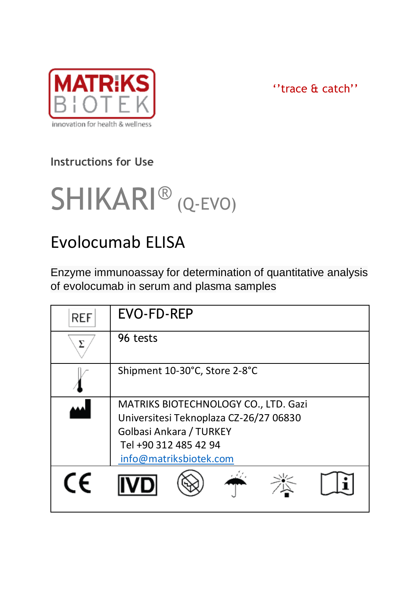

''trace & catch''

# **Instructions for Use**



# Evolocumab ELISA

Enzyme immunoassay for determination of quantitative analysis of evolocumab in serum and plasma samples

| <b>REF</b> | EVO-FD-REP                                                                                                                                                   |
|------------|--------------------------------------------------------------------------------------------------------------------------------------------------------------|
|            | 96 tests                                                                                                                                                     |
|            | Shipment 10-30°C, Store 2-8°C                                                                                                                                |
|            | MATRIKS BIOTECHNOLOGY CO., LTD. Gazi<br>Universitesi Teknoplaza CZ-26/27 06830<br>Golbasi Ankara / TURKEY<br>Tel +90 312 485 42 94<br>info@matriksbiotek.com |
| CF         |                                                                                                                                                              |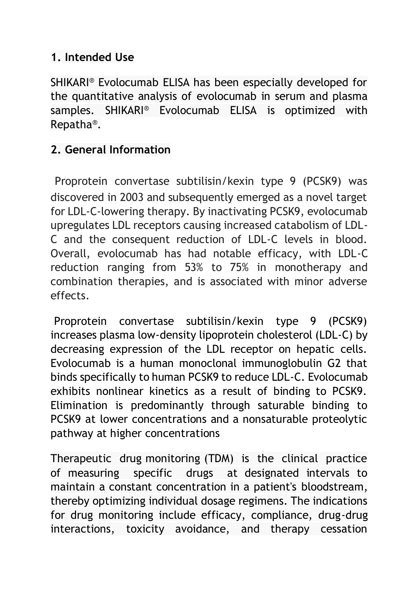## **1. Intended Use**

SHIKARI® Evolocumab ELISA has been especially developed for the quantitative analysis of evolocumab in serum and plasma samples. SHIKARI® Evolocumab ELISA is optimized with Repatha®.

## **2. General Information**

Proprotein convertase subtilisin/kexin type 9 (PCSK9) was discovered in 2003 and subsequently emerged as a novel target for LDL-C-lowering therapy. By inactivating PCSK9, evolocumab upregulates LDL receptors causing increased catabolism of LDL-C and the consequent reduction of LDL-C levels in blood. Overall, evolocumab has had notable efficacy, with LDL-C reduction ranging from 53% to 75% in monotherapy and combination therapies, and is associated with minor adverse effects.

Proprotein convertase subtilisin/kexin type 9 (PCSK9) increases plasma low-density lipoprotein cholesterol (LDL-C) by decreasing expression of the LDL receptor on hepatic cells. Evolocumab is a human monoclonal immunoglobulin G2 that binds specifically to human PCSK9 to reduce LDL-C. Evolocumab exhibits nonlinear kinetics as a result of binding to PCSK9. Elimination is predominantly through saturable binding to PCSK9 at lower concentrations and a nonsaturable proteolytic pathway at higher concentrations

Therapeutic drug monitoring (TDM) is the clinical practice of measuring specific drugs at designated intervals to maintain a constant concentration in a patient's bloodstream, thereby optimizing individual dosage regimens. The indications for drug monitoring include efficacy, compliance, drug-drug interactions, toxicity avoidance, and therapy cessation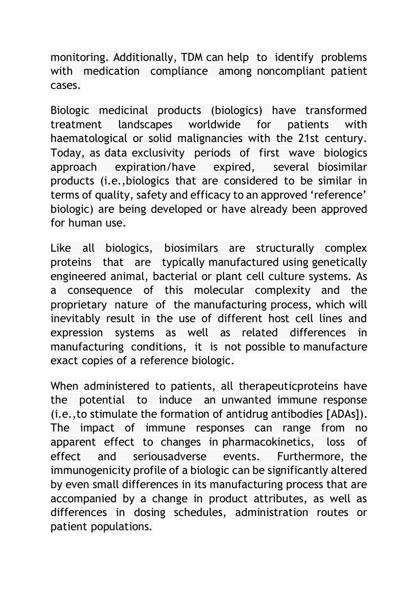monitoring. Additionally, TDM can help to identify problems with medication compliance among noncompliant patient cases.

Biologic medicinal products (biologics) have transformed treatment landscapes worldwide for patients with haematological or solid malignancies with the 21st century. Today, as data exclusivity periods of first wave biologics approach expiration/have expired, several biosimilar products (i.e.,biologics that are considered to be similar in terms of quality, safety and efficacy to an approved 'reference' biologic) are being developed or have already been approved for human use.

Like all biologics, biosimilars are structurally complex proteins that are typically manufactured using genetically engineered animal, bacterial or plant cell culture systems. As a consequence of this molecular complexity and the proprietary nature of the manufacturing process, which will inevitably result in the use of different host cell lines and expression systems as well as related differences in manufacturing conditions, it is not possible to manufacture exact copies of a reference biologic.

When administered to patients, all therapeuticproteins have the potential to induce an unwanted immune response (i.e.,to stimulate the formation of antidrug antibodies [ADAs]). The impact of immune responses can range from no apparent effect to changes in pharmacokinetics, loss of effect and seriousadverse events. Furthermore, the immunogenicity profile of a biologic can be significantly altered by even small differences in its manufacturing process that are accompanied by a change in product attributes, as well as differences in dosing schedules, administration routes or patient populations.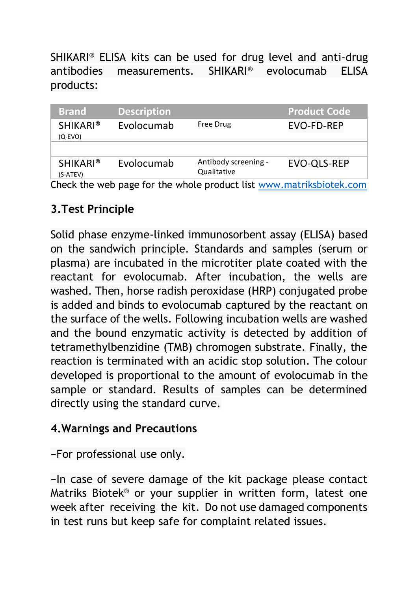SHIKARI® ELISA kits can be used for drug level and anti-drug antibodies measurements. SHIKARI® evolocumab ELISA products:

| <b>Brand</b>                 | <b>Description</b> |                                     | <b>Product Code</b> |
|------------------------------|--------------------|-------------------------------------|---------------------|
| <b>SHIKARI®</b><br>$(Q-EVO)$ | Evolocumab         | Free Drug                           | EVO-FD-REP          |
|                              |                    |                                     |                     |
| <b>SHIKARI®</b><br>(S-ATEV)  | Evolocumab         | Antibody screening -<br>Qualitative | EVO-QLS-REP         |
|                              |                    |                                     | .                   |

Check the web page for the whole product list [www.matriksbiotek.com](file:///C:/Users/Matrix/Documents/www.matriksbiotek.com)

# **3.Test Principle**

Solid phase enzyme-linked immunosorbent assay (ELISA) based on the sandwich principle. Standards and samples (serum or plasma) are incubated in the microtiter plate coated with the reactant for evolocumab. After incubation, the wells are washed. Then, horse radish peroxidase (HRP) conjugated probe is added and binds to evolocumab captured by the reactant on the surface of the wells. Following incubation wells are washed and the bound enzymatic activity is detected by addition of tetramethylbenzidine (TMB) chromogen substrate. Finally, the reaction is terminated with an acidic stop solution. The colour developed is proportional to the amount of evolocumab in the sample or standard. Results of samples can be determined directly using the standard curve.

## **4.Warnings and Precautions**

−For professional use only.

−In case of severe damage of the kit package please contact Matriks Biotek® or your supplier in written form, latest one week after receiving the kit. Do not use damaged components in test runs but keep safe for complaint related issues.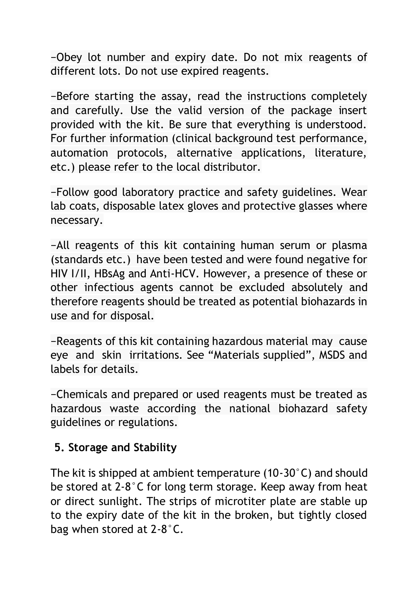−Obey lot number and expiry date. Do not mix reagents of different lots. Do not use expired reagents.

−Before starting the assay, read the instructions completely and carefully. Use the valid version of the package insert provided with the kit. Be sure that everything is understood. For further information (clinical background test performance, automation protocols, alternative applications, literature, etc.) please refer to the local distributor.

−Follow good laboratory practice and safety guidelines. Wear lab coats, disposable latex gloves and protective glasses where necessary.

−All reagents of this kit containing human serum or plasma (standards etc.) have been tested and were found negative for HIV I/II, HBsAg and Anti-HCV. However, a presence of these or other infectious agents cannot be excluded absolutely and therefore reagents should be treated as potential biohazards in use and for disposal.

−Reagents of this kit containing hazardous material may cause eye and skin irritations. See "Materials supplied", MSDS and labels for details.

−Chemicals and prepared or used reagents must be treated as hazardous waste according the national biohazard safety guidelines or regulations.

## **5. Storage and Stability**

The kit is shipped at ambient temperature (10-30°C) and should be stored at 2-8°C for long term storage. Keep away from heat or direct sunlight. The strips of microtiter plate are stable up to the expiry date of the kit in the broken, but tightly closed bag when stored at 2-8°C.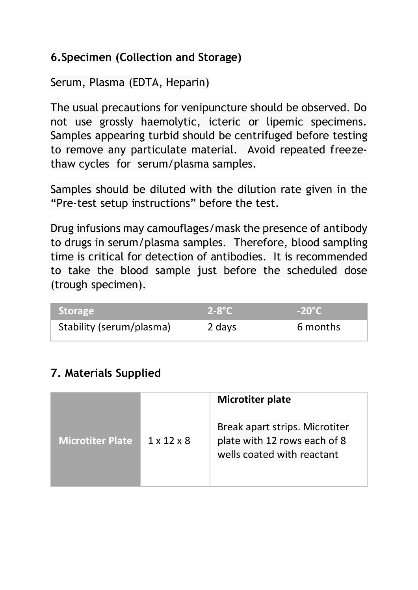# **6.Specimen (Collection and Storage)**

Serum, Plasma (EDTA, Heparin)

The usual precautions for venipuncture should be observed. Do not use grossly haemolytic, icteric or lipemic specimens. Samples appearing turbid should be centrifuged before testing to remove any particulate material. Avoid repeated freezethaw cycles for serum/plasma samples.

Samples should be diluted with the dilution rate given in the "Pre-test setup instructions" before the test.

Drug infusions may camouflages/mask the presence of antibody to drugs in serum/plasma samples. Therefore, blood sampling time is critical for detection of antibodies. It is recommended to take the blood sample just before the scheduled dose (trough specimen).

| <b>Storage</b>           | $2-8^{\circ}C$ | $-20^{\circ}$ C |
|--------------------------|----------------|-----------------|
| Stability (serum/plasma) | 2 days         | 6 months        |

# **7. Materials Supplied**

|                         |                        | Microtiter plate                                                                             |
|-------------------------|------------------------|----------------------------------------------------------------------------------------------|
| <b>Microtiter Plate</b> | $1 \times 12 \times 8$ | Break apart strips. Microtiter<br>plate with 12 rows each of 8<br>wells coated with reactant |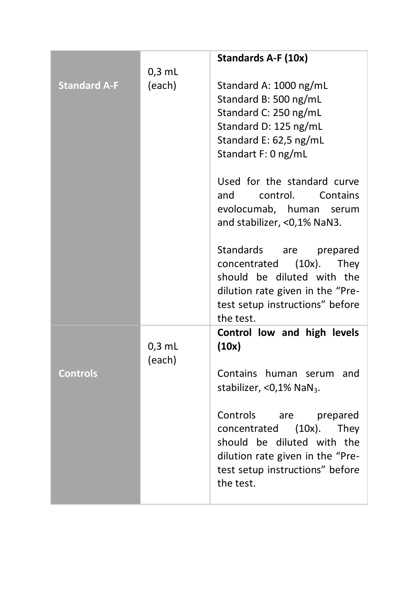|                     |          | Standards A-F (10x)                  |
|---------------------|----------|--------------------------------------|
|                     |          |                                      |
|                     | $0.3$ mL |                                      |
| <b>Standard A-F</b> | (each)   | Standard A: 1000 ng/mL               |
|                     |          | Standard B: 500 ng/mL                |
|                     |          | Standard C: 250 ng/mL                |
|                     |          | Standard D: 125 ng/mL                |
|                     |          | Standard E: 62,5 ng/mL               |
|                     |          | Standart F: 0 ng/mL                  |
|                     |          |                                      |
|                     |          | Used for the standard curve          |
|                     |          | control.<br>Contains<br>and          |
|                     |          | evolocumab, human<br>serum           |
|                     |          | and stabilizer, <0,1% NaN3.          |
|                     |          |                                      |
|                     |          | Standards<br>are<br>prepared         |
|                     |          | $(10x)$ .<br>concentrated<br>They    |
|                     |          | should be diluted with the           |
|                     |          | dilution rate given in the "Pre-     |
|                     |          | test setup instructions" before      |
|                     |          | the test.                            |
|                     |          | Control low and high levels          |
|                     | $0.3$ mL | (10x)                                |
|                     | (each)   |                                      |
| <b>Controls</b>     |          | Contains human serum and             |
|                     |          | stabilizer, <0,1% NaN <sub>3</sub> . |
|                     |          |                                      |
|                     |          | Controls<br>prepared<br>are          |
|                     |          | concentrated (10x).<br>They          |
|                     |          | should be diluted with the           |
|                     |          | dilution rate given in the "Pre-     |
|                     |          | test setup instructions" before      |
|                     |          | the test.                            |
|                     |          |                                      |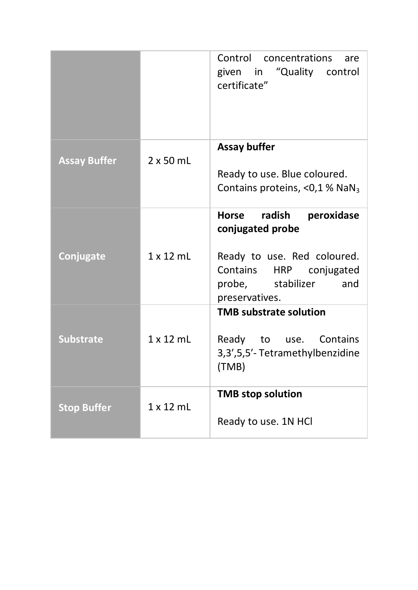|                     |                  | Control<br>concentrations<br>are<br>given in "Quality control<br>certificate"                                                                                |
|---------------------|------------------|--------------------------------------------------------------------------------------------------------------------------------------------------------------|
| <b>Assay Buffer</b> | $2 \times 50$ mL | Assay buffer<br>Ready to use. Blue coloured.                                                                                                                 |
|                     |                  | Contains proteins, $<$ 0,1 % NaN <sub>3</sub>                                                                                                                |
| Conjugate           | $1 \times 12$ mL | radish<br>peroxidase<br>Horse<br>conjugated probe<br>Ready to use. Red coloured.<br>Contains HRP<br>conjugated<br>probe, stabilizer<br>and<br>preservatives. |
| <b>Substrate</b>    | 1 x 12 mL        | <b>TMB substrate solution</b><br>Ready<br>to use. Contains<br>3,3',5,5'-Tetramethylbenzidine<br>(TMB)                                                        |
| <b>Stop Buffer</b>  | $1 \times 12$ ml | <b>TMB stop solution</b><br>Ready to use. 1N HCI                                                                                                             |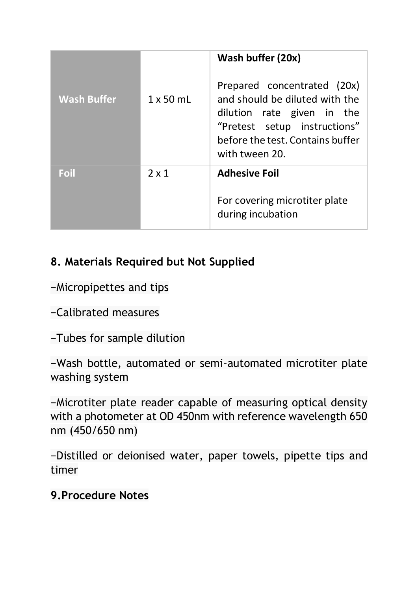|                    |                  | Wash buffer (20x)                                                                                                                                                                 |
|--------------------|------------------|-----------------------------------------------------------------------------------------------------------------------------------------------------------------------------------|
| <b>Wash Buffer</b> | $1 \times 50$ mL | Prepared concentrated (20x)<br>and should be diluted with the<br>dilution rate given in the<br>"Pretest setup instructions"<br>before the test. Contains buffer<br>with tween 20. |
| Foil               | $2 \times 1$     | <b>Adhesive Foil</b>                                                                                                                                                              |
|                    |                  | For covering microtiter plate<br>during incubation                                                                                                                                |

# **8. Materials Required but Not Supplied**

- −Micropipettes and tips
- −Calibrated measures
- −Tubes for sample dilution

−Wash bottle, automated or semi-automated microtiter plate washing system

−Microtiter plate reader capable of measuring optical density with a photometer at OD 450nm with reference wavelength 650 nm (450/650 nm)

−Distilled or deionised water, paper towels, pipette tips and timer

#### **9.Procedure Notes**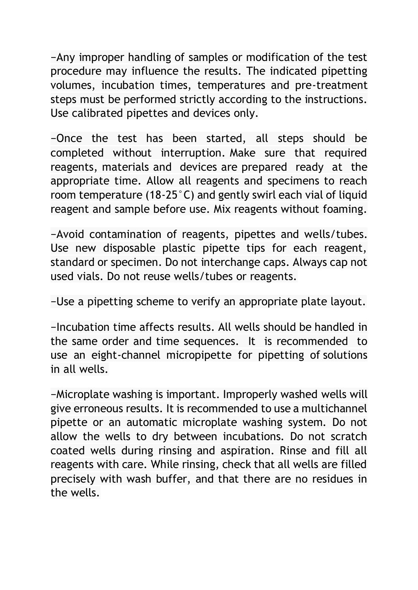−Any improper handling of samples or modification of the test procedure may influence the results. The indicated pipetting volumes, incubation times, temperatures and pre-treatment steps must be performed strictly according to the instructions. Use calibrated pipettes and devices only.

−Once the test has been started, all steps should be completed without interruption. Make sure that required reagents, materials and devices are prepared ready at the appropriate time. Allow all reagents and specimens to reach room temperature (18-25°C) and gently swirl each vial of liquid reagent and sample before use. Mix reagents without foaming.

−Avoid contamination of reagents, pipettes and wells/tubes. Use new disposable plastic pipette tips for each reagent, standard or specimen. Do not interchange caps. Always cap not used vials. Do not reuse wells/tubes or reagents.

−Use a pipetting scheme to verify an appropriate plate layout.

−Incubation time affects results. All wells should be handled in the same order and time sequences. It is recommended to use an eight-channel micropipette for pipetting of solutions in all wells.

−Microplate washing is important. Improperly washed wells will give erroneous results. It is recommended to use a multichannel pipette or an automatic microplate washing system. Do not allow the wells to dry between incubations. Do not scratch coated wells during rinsing and aspiration. Rinse and fill all reagents with care. While rinsing, check that all wells are filled precisely with wash buffer, and that there are no residues in the wells.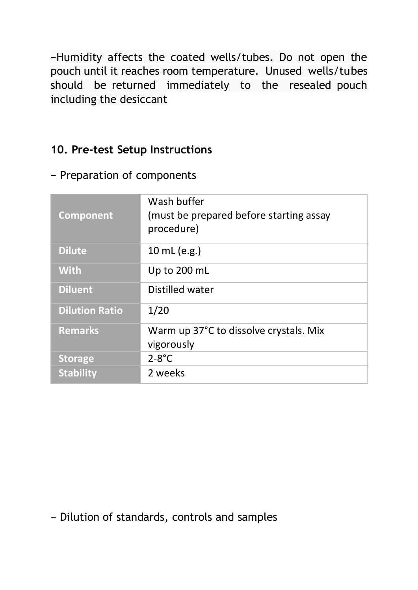−Humidity affects the coated wells/tubes. Do not open the pouch until it reaches room temperature. Unused wells/tubes should be returned immediately to the resealed pouch including the desiccant

#### **10. Pre-test Setup Instructions**

|  |  |  |  | - Preparation of components |
|--|--|--|--|-----------------------------|
|--|--|--|--|-----------------------------|

| Component             | Wash buffer<br>(must be prepared before starting assay<br>procedure) |
|-----------------------|----------------------------------------------------------------------|
| <b>Dilute</b>         | 10 mL (e.g.)                                                         |
| <b>With</b>           | Up to 200 mL                                                         |
| <b>Diluent</b>        | Distilled water                                                      |
| <b>Dilution Ratio</b> | 1/20                                                                 |
| <b>Remarks</b>        | Warm up 37°C to dissolve crystals. Mix                               |
|                       | vigorously                                                           |
| <b>Storage</b>        | $2-8$ °C                                                             |
| <b>Stability</b>      | 2 weeks                                                              |

− Dilution of standards, controls and samples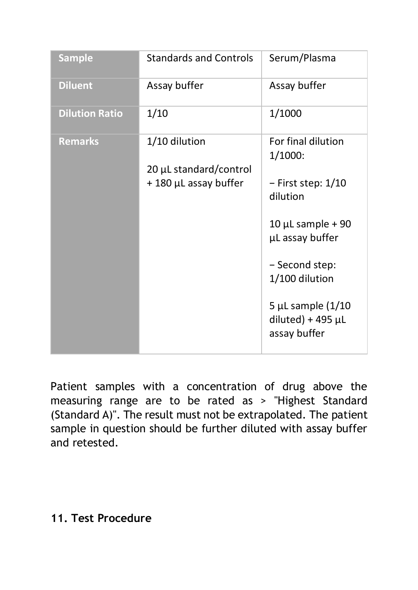| <b>Sample</b>         | <b>Standards and Controls</b>                                   | Serum/Plasma                                                                                                                                                                                                         |
|-----------------------|-----------------------------------------------------------------|----------------------------------------------------------------------------------------------------------------------------------------------------------------------------------------------------------------------|
| <b>Diluent</b>        | Assay buffer                                                    | Assay buffer                                                                                                                                                                                                         |
| <b>Dilution Ratio</b> | 1/10                                                            | 1/1000                                                                                                                                                                                                               |
| <b>Remarks</b>        | 1/10 dilution<br>20 µL standard/control<br>+180 µL assay buffer | For final dilution<br>1/1000:<br>- First step: 1/10<br>dilution<br>10 $\mu$ L sample + 90<br>µL assay buffer<br>- Second step:<br>1/100 dilution<br>$5$ µL sample $(1/10)$<br>diluted) + 495 $\mu$ L<br>assay buffer |
|                       |                                                                 |                                                                                                                                                                                                                      |

Patient samples with a concentration of drug above the measuring range are to be rated as > "Highest Standard (Standard A)". The result must not be extrapolated. The patient sample in question should be further diluted with assay buffer and retested.

## **11. Test Procedure**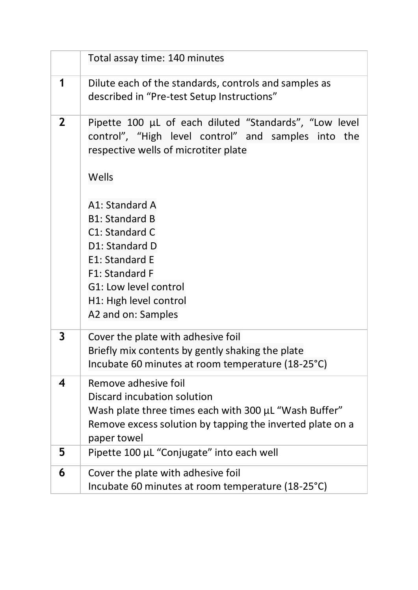|   | Total assay time: 140 minutes                                                                                                                                                                                                                                                                                                                              |
|---|------------------------------------------------------------------------------------------------------------------------------------------------------------------------------------------------------------------------------------------------------------------------------------------------------------------------------------------------------------|
| 1 | Dilute each of the standards, controls and samples as<br>described in "Pre-test Setup Instructions"                                                                                                                                                                                                                                                        |
| 2 | Pipette 100 µL of each diluted "Standards", "Low level<br>control", "High level control" and samples into the<br>respective wells of microtiter plate<br>Wells<br>A1: Standard A<br><b>B1: Standard B</b><br>C1: Standard C<br>D1: Standard D<br>E1: Standard E<br>F1: Standard F<br>G1: Low level control<br>H1: High level control<br>A2 and on: Samples |
| 3 | Cover the plate with adhesive foil<br>Briefly mix contents by gently shaking the plate<br>Incubate 60 minutes at room temperature (18-25°C)                                                                                                                                                                                                                |
| 4 | Remove adhesive foil<br>Discard incubation solution<br>Wash plate three times each with 300 µL "Wash Buffer"<br>Remove excess solution by tapping the inverted plate on a<br>paper towel                                                                                                                                                                   |
| 5 | Pipette 100 µL "Conjugate" into each well                                                                                                                                                                                                                                                                                                                  |
| 6 | Cover the plate with adhesive foil<br>Incubate 60 minutes at room temperature (18-25°C)                                                                                                                                                                                                                                                                    |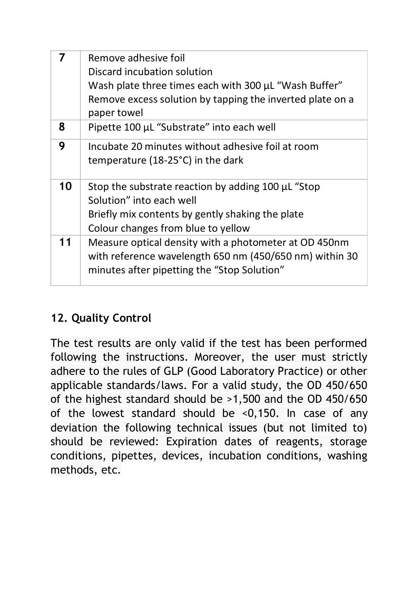|    | Remove adhesive foil<br>Discard incubation solution<br>Wash plate three times each with 300 µL "Wash Buffer"<br>Remove excess solution by tapping the inverted plate on a<br>paper towel |
|----|------------------------------------------------------------------------------------------------------------------------------------------------------------------------------------------|
| 8  | Pipette 100 µL "Substrate" into each well                                                                                                                                                |
| 9  | Incubate 20 minutes without adhesive foil at room<br>temperature (18-25°C) in the dark                                                                                                   |
| 10 | Stop the substrate reaction by adding 100 µL "Stop<br>Solution" into each well<br>Briefly mix contents by gently shaking the plate<br>Colour changes from blue to yellow                 |
| 11 | Measure optical density with a photometer at OD 450nm<br>with reference wavelength 650 nm (450/650 nm) within 30<br>minutes after pipetting the "Stop Solution"                          |

# **12. Quality Control**

The test results are only valid if the test has been performed following the instructions. Moreover, the user must strictly adhere to the rules of GLP (Good Laboratory Practice) or other applicable standards/laws. For a valid study, the OD 450/650 of the highest standard should be >1,500 and the OD 450/650 of the lowest standard should be <0,150. In case of any deviation the following technical issues (but not limited to) should be reviewed: Expiration dates of reagents, storage conditions, pipettes, devices, incubation conditions, washing methods, etc.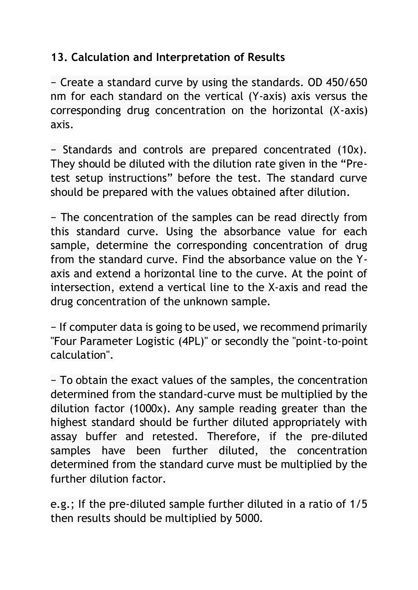## **13. Calculation and Interpretation of Results**

− Create a standard curve by using the standards. OD 450/650 nm for each standard on the vertical (Y-axis) axis versus the corresponding drug concentration on the horizontal (X-axis) axis.

− Standards and controls are prepared concentrated (10x). They should be diluted with the dilution rate given in the "Pretest setup instructions" before the test. The standard curve should be prepared with the values obtained after dilution.

− The concentration of the samples can be read directly from this standard curve. Using the absorbance value for each sample, determine the corresponding concentration of drug from the standard curve. Find the absorbance value on the Yaxis and extend a horizontal line to the curve. At the point of intersection, extend a vertical line to the X-axis and read the drug concentration of the unknown sample.

− If computer data is going to be used, we recommend primarily "Four Parameter Logistic (4PL)" or secondly the "point-to-point calculation".

− To obtain the exact values of the samples, the concentration determined from the standard-curve must be multiplied by the dilution factor (1000x). Any sample reading greater than the highest standard should be further diluted appropriately with assay buffer and retested. Therefore, if the pre-diluted samples have been further diluted, the concentration determined from the standard curve must be multiplied by the further dilution factor.

e.g.; If the pre-diluted sample further diluted in a ratio of 1/5 then results should be multiplied by 5000.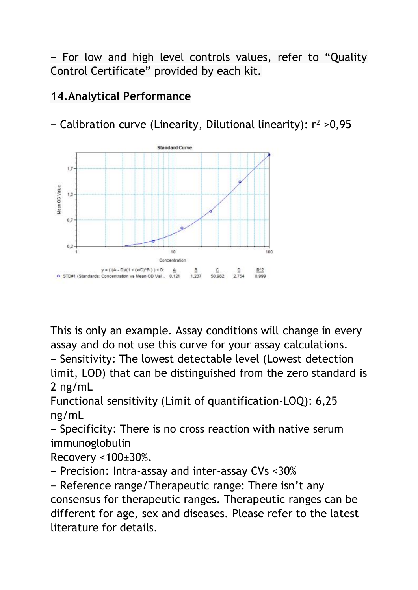− For low and high level controls values, refer to "Quality Control Certificate" provided by each kit.

# **14.Analytical Performance**



− Calibration curve (Linearity, Dilutional linearity): r<sup>2</sup> >0,95

This is only an example. Assay conditions will change in every assay and do not use this curve for your assay calculations.

− Sensitivity: The lowest detectable level (Lowest detection limit, LOD) that can be distinguished from the zero standard is 2 ng/mL

Functional sensitivity (Limit of quantification-LOQ): 6,25 ng/mL

− Specificity: There is no cross reaction with native serum immunoglobulin

Recovery <100±30%.

− Precision: Intra-assay and inter-assay CVs <30%

− Reference range/Therapeutic range: There isn't any consensus for therapeutic ranges. Therapeutic ranges can be different for age, sex and diseases. Please refer to the latest literature for details.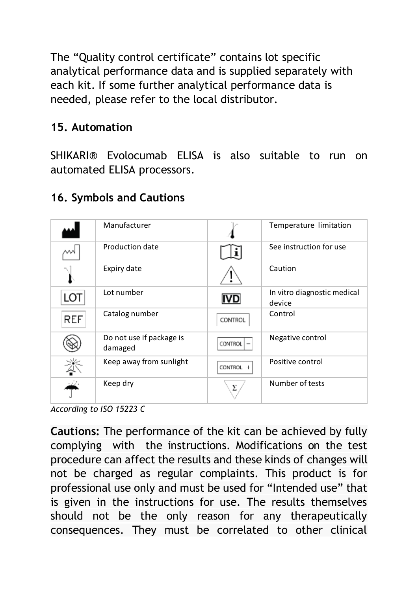The "Quality control certificate" contains lot specific analytical performance data and is supplied separately with each kit. If some further analytical performance data is needed, please refer to the local distributor.

## **15. Automation**

SHIKARI® Evolocumab ELISA is also suitable to run on automated ELISA processors.

### **16. Symbols and Cautions**

|            | Manufacturer                        |                | Temperature limitation                |
|------------|-------------------------------------|----------------|---------------------------------------|
|            | Production date                     |                | See instruction for use               |
|            | Expiry date                         |                | Caution                               |
| LOT        | Lot number                          | IVD            | In vitro diagnostic medical<br>device |
| <b>REF</b> | Catalog number                      | CONTROL        | Control                               |
|            | Do not use if package is<br>damaged | <b>CONTROL</b> | Negative control                      |
|            | Keep away from sunlight             | <b>CONTROL</b> | Positive control                      |
|            | Keep dry                            | У              | Number of tests                       |

*According to ISO 15223 C*

**Cautions:** The performance of the kit can be achieved by fully complying with the instructions. Modifications on the test procedure can affect the results and these kinds of changes will not be charged as regular complaints. This product is for professional use only and must be used for "Intended use" that is given in the instructions for use. The results themselves should not be the only reason for any therapeutically consequences. They must be correlated to other clinical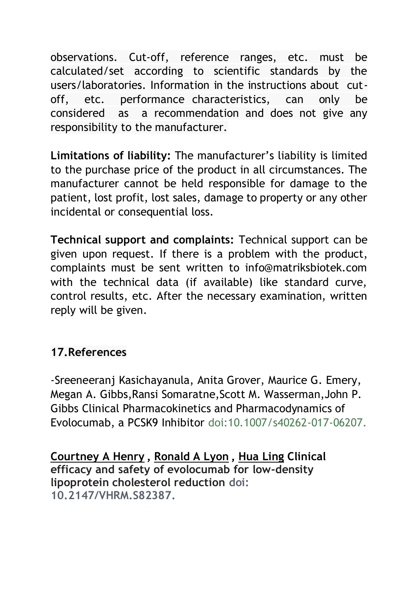observations. Cut-off, reference ranges, etc. must be calculated/set according to scientific standards by the users/laboratories. Information in the instructions about cutoff, etc. performance characteristics, can only be considered as a recommendation and does not give any responsibility to the manufacturer.

**Limitations of liability:** The manufacturer's liability is limited to the purchase price of the product in all circumstances. The manufacturer cannot be held responsible for damage to the patient, lost profit, lost sales, damage to property or any other incidental or consequential loss.

**Technical support and complaints:** Technical support can be given upon request. If there is a problem with the product, complaints must be sent written to info@matriksbiotek.com with the technical data (if available) like standard curve, control results, etc. After the necessary examination, written reply will be given.

## **17.References**

-Sreeneeranj Kasichayanula, Anita Grover, Maurice G. Emery, Megan A. Gibbs,Ransi Somaratne,Scott M. Wasserman,John P. Gibbs Clinical Pharmacokinetics and Pharmacodynamics of Evolocumab, a PCSK9 Inhibitor doi:10.1007/s40262-017-06207.

**[Courtney A Henry](https://pubmed.ncbi.nlm.nih.gov/?term=Henry+CA&cauthor_id=27143910) [, Ronald A Lyon](https://pubmed.ncbi.nlm.nih.gov/?term=Lyon+RA&cauthor_id=27143910) [, Hua Ling](https://pubmed.ncbi.nlm.nih.gov/?term=Ling+H&cauthor_id=27143910) Clinical efficacy and safety of evolocumab for low-density lipoprotein cholesterol reduction doi: 10.2147/VHRM.S82387.**